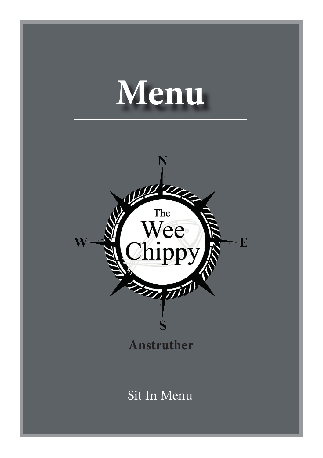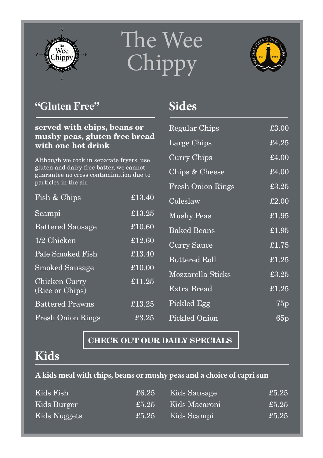

# The Wee Chippy



### **"Gluten Free"**

#### **served with chips, beans or mushy peas, gluten free bread with one hot drink**

Although we cook in separate fryers, use gluten and dairy free batter, we cannot guarantee no cross contamination due to particles in the air.

| Fish & Chips                     | £13.40 |
|----------------------------------|--------|
| Scampi                           | £13.25 |
| <b>Battered Sausage</b>          | £10.60 |
| 1/2 Chicken                      | £12.60 |
| Pale Smoked Fish                 | £13.40 |
| <b>Smoked Sausage</b>            | £10.00 |
| Chicken Curry<br>(Rice or Chips) | £11.25 |
| <b>Battered Prawns</b>           | £13.25 |
| <b>Fresh Onion Rings</b>         | £3.25  |

## **Sides**

| <b>Regular Chips</b>     | £3.00                                 |
|--------------------------|---------------------------------------|
| Large Chips              | £4.25                                 |
| Curry Chips              | £4.00                                 |
| Chips & Cheese           | £4.00                                 |
| <b>Fresh Onion Rings</b> | £3.25                                 |
| Coleslaw                 | £2.00                                 |
| <b>Mushy Peas</b>        | £1.95                                 |
| <b>Baked Beans</b>       | £1.95                                 |
| Curry Sauce              | $\overline{\text{\textsterling}1.75}$ |
| <b>Buttered Roll</b>     | £1.25                                 |
| Mozzarella Sticks        | £3.25                                 |
| Extra Bread              | £1.25                                 |
| Pickled Egg              | $\overline{75p}$                      |
| Pickled Onion            | 65p                                   |

#### **CHECK OUT OUR DAILY SPECIALS**

# **Kids**

#### **A kids meal with chips, beans or mushy peas and a choice of capri sun**

| Kids Fish    | £6.25      | Kids Sausage  | £5.25 |
|--------------|------------|---------------|-------|
| Kids Burger  | $\pm 5.25$ | Kids Macaroni | £5.25 |
| Kids Nuggets | £5.25      | Kids Scampi   | £5.25 |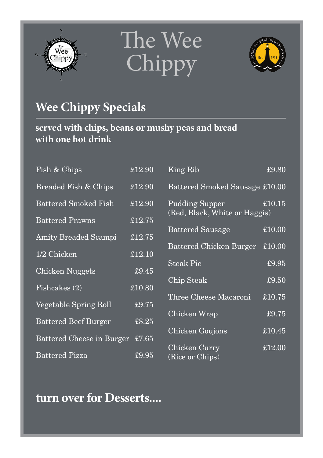





# **Wee Chippy Specials**

**served with chips, beans or mushy peas and bread with one hot drink**

| Fish & Chips                    | £12.90                          | King Rib                                               | £9.80  |
|---------------------------------|---------------------------------|--------------------------------------------------------|--------|
| Breaded Fish & Chips            | £12.90                          | Battered Smoked Sausage £10.00                         |        |
| <b>Battered Smoked Fish</b>     | £12.90                          | <b>Pudding Supper</b><br>(Red, Black, White or Haggis) | £10.15 |
| <b>Battered Prawns</b>          | £12.75                          |                                                        |        |
| <b>Amity Breaded Scampi</b>     | £12.75                          | Battered Sausage                                       | £10.00 |
|                                 |                                 | Battered Chicken Burger                                | £10.00 |
| 1/2 Chicken                     | £12.10                          | <b>Steak Pie</b>                                       | £9.95  |
| Chicken Nuggets                 | £9.45                           |                                                        |        |
| Fishcakes (2)                   | £10.80                          | Chip Steak                                             | £9.50  |
|                                 |                                 | Three Cheese Macaroni                                  | £10.75 |
| Vegetable Spring Roll           | £9.75                           | Chicken Wrap                                           | £9.75  |
| <b>Battered Beef Burger</b>     | £8.25                           |                                                        |        |
| Battered Cheese in Burger £7.65 |                                 | Chicken Goujons                                        | £10.45 |
|                                 |                                 | Chicken Curry                                          | £12.00 |
| <b>Battered Pizza</b>           | $\overline{\text{\pounds}9.95}$ | (Rice or Chips)                                        |        |

# **turn over for Desserts....**